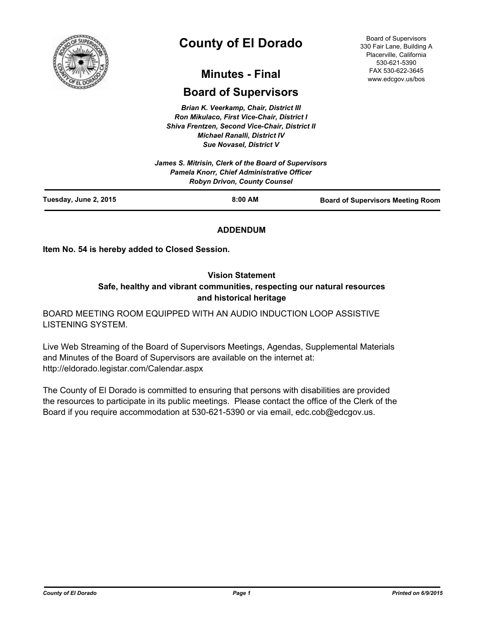

# **County of El Dorado**

## **Minutes - Final**

## **Board of Supervisors**

*Brian K. Veerkamp, Chair, District III Ron Mikulaco, First Vice-Chair, District I Shiva Frentzen, Second Vice-Chair, District II Michael Ranalli, District IV Sue Novasel, District V* 

|                       | James S. Mitrisin, Clerk of the Board of Supervisors<br>Pamela Knorr, Chief Administrative Officer |                                          |
|-----------------------|----------------------------------------------------------------------------------------------------|------------------------------------------|
| Tuesday, June 2, 2015 | $8:00$ AM                                                                                          | <b>Board of Supervisors Meeting Room</b> |

## **ADDENDUM**

**Item No. 54 is hereby added to Closed Session.**

## **Vision Statement Safe, healthy and vibrant communities, respecting our natural resources and historical heritage**

BOARD MEETING ROOM EQUIPPED WITH AN AUDIO INDUCTION LOOP ASSISTIVE LISTENING SYSTEM.

Live Web Streaming of the Board of Supervisors Meetings, Agendas, Supplemental Materials and Minutes of the Board of Supervisors are available on the internet at: http://eldorado.legistar.com/Calendar.aspx

The County of El Dorado is committed to ensuring that persons with disabilities are provided the resources to participate in its public meetings. Please contact the office of the Clerk of the Board if you require accommodation at 530-621-5390 or via email, edc.cob@edcgov.us.

Board of Supervisors 330 Fair Lane, Building A Placerville, California 530-621-5390 FAX 530-622-3645 www.edcgov.us/bos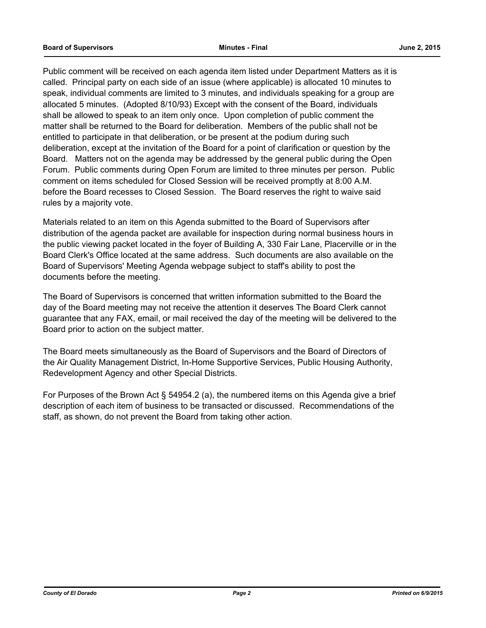Public comment will be received on each agenda item listed under Department Matters as it is called. Principal party on each side of an issue (where applicable) is allocated 10 minutes to speak, individual comments are limited to 3 minutes, and individuals speaking for a group are allocated 5 minutes. (Adopted 8/10/93) Except with the consent of the Board, individuals shall be allowed to speak to an item only once. Upon completion of public comment the matter shall be returned to the Board for deliberation. Members of the public shall not be entitled to participate in that deliberation, or be present at the podium during such deliberation, except at the invitation of the Board for a point of clarification or question by the Board. Matters not on the agenda may be addressed by the general public during the Open Forum. Public comments during Open Forum are limited to three minutes per person. Public comment on items scheduled for Closed Session will be received promptly at 8:00 A.M. before the Board recesses to Closed Session. The Board reserves the right to waive said rules by a majority vote.

Materials related to an item on this Agenda submitted to the Board of Supervisors after distribution of the agenda packet are available for inspection during normal business hours in the public viewing packet located in the foyer of Building A, 330 Fair Lane, Placerville or in the Board Clerk's Office located at the same address. Such documents are also available on the Board of Supervisors' Meeting Agenda webpage subject to staff's ability to post the documents before the meeting.

The Board of Supervisors is concerned that written information submitted to the Board the day of the Board meeting may not receive the attention it deserves The Board Clerk cannot guarantee that any FAX, email, or mail received the day of the meeting will be delivered to the Board prior to action on the subject matter.

The Board meets simultaneously as the Board of Supervisors and the Board of Directors of the Air Quality Management District, In-Home Supportive Services, Public Housing Authority, Redevelopment Agency and other Special Districts.

For Purposes of the Brown Act § 54954.2 (a), the numbered items on this Agenda give a brief description of each item of business to be transacted or discussed. Recommendations of the staff, as shown, do not prevent the Board from taking other action.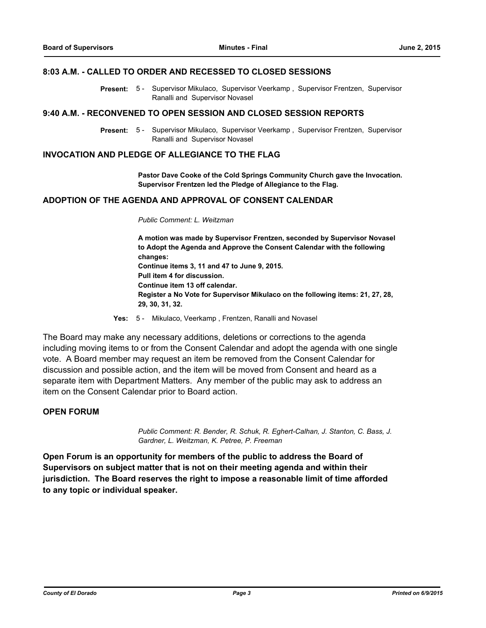#### **8:03 A.M. - CALLED TO ORDER AND RECESSED TO CLOSED SESSIONS**

Present: 5 - Supervisor Mikulaco, Supervisor Veerkamp, Supervisor Frentzen, Supervisor Ranalli and Supervisor Novasel

### **9:40 A.M. - RECONVENED TO OPEN SESSION AND CLOSED SESSION REPORTS**

Present: 5 - Supervisor Mikulaco, Supervisor Veerkamp, Supervisor Frentzen, Supervisor Ranalli and Supervisor Novasel

#### **INVOCATION AND PLEDGE OF ALLEGIANCE TO THE FLAG**

**Pastor Dave Cooke of the Cold Springs Community Church gave the Invocation. Supervisor Frentzen led the Pledge of Allegiance to the Flag.**

#### **ADOPTION OF THE AGENDA AND APPROVAL OF CONSENT CALENDAR**

*Public Comment: L. Weitzman*

**A motion was made by Supervisor Frentzen, seconded by Supervisor Novasel to Adopt the Agenda and Approve the Consent Calendar with the following changes: Continue items 3, 11 and 47 to June 9, 2015. Pull item 4 for discussion. Continue item 13 off calendar. Register a No Vote for Supervisor Mikulaco on the following items: 21, 27, 28, 29, 30, 31, 32.**

**Yes:** 5 - Mikulaco, Veerkamp , Frentzen, Ranalli and Novasel

The Board may make any necessary additions, deletions or corrections to the agenda including moving items to or from the Consent Calendar and adopt the agenda with one single vote. A Board member may request an item be removed from the Consent Calendar for discussion and possible action, and the item will be moved from Consent and heard as a separate item with Department Matters. Any member of the public may ask to address an item on the Consent Calendar prior to Board action.

## **OPEN FORUM**

*Public Comment: R. Bender, R. Schuk, R. Eghert-Calhan, J. Stanton, C. Bass, J. Gardner, L. Weitzman, K. Petree, P. Freeman*

**Open Forum is an opportunity for members of the public to address the Board of Supervisors on subject matter that is not on their meeting agenda and within their jurisdiction. The Board reserves the right to impose a reasonable limit of time afforded to any topic or individual speaker.**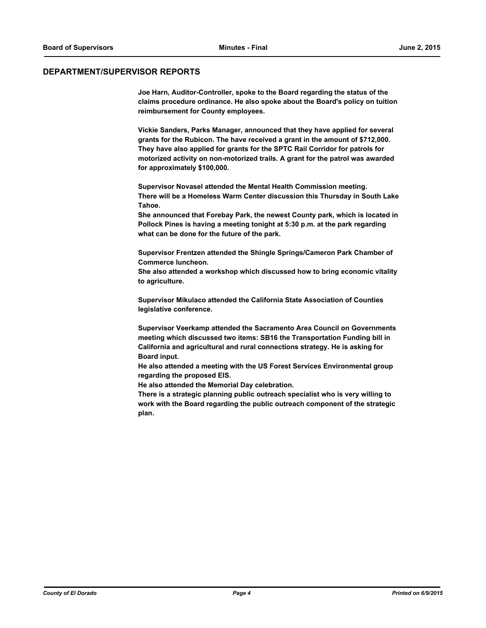#### **DEPARTMENT/SUPERVISOR REPORTS**

**Joe Harn, Auditor-Controller, spoke to the Board regarding the status of the claims procedure ordinance. He also spoke about the Board's policy on tuition reimbursement for County employees.**

**Vickie Sanders, Parks Manager, announced that they have applied for several grants for the Rubicon. The have received a grant in the amount of \$712,000. They have also applied for grants for the SPTC Rail Corridor for patrols for motorized activity on non-motorized trails. A grant for the patrol was awarded for approximately \$100,000.**

**Supervisor Novasel attended the Mental Health Commission meeting. There will be a Homeless Warm Center discussion this Thursday in South Lake Tahoe.**

**She announced that Forebay Park, the newest County park, which is located in Pollock Pines is having a meeting tonight at 5:30 p.m. at the park regarding what can be done for the future of the park.**

**Supervisor Frentzen attended the Shingle Springs/Cameron Park Chamber of Commerce luncheon.** 

**She also attended a workshop which discussed how to bring economic vitality to agriculture.**

**Supervisor Mikulaco attended the California State Association of Counties legislative conference.**

**Supervisor Veerkamp attended the Sacramento Area Council on Governments meeting which discussed two items: SB16 the Transportation Funding bill in California and agricultural and rural connections strategy. He is asking for Board input.**

**He also attended a meeting with the US Forest Services Environmental group regarding the proposed EIS.**

**He also attended the Memorial Day celebration.**

**There is a strategic planning public outreach specialist who is very willing to work with the Board regarding the public outreach component of the strategic plan.**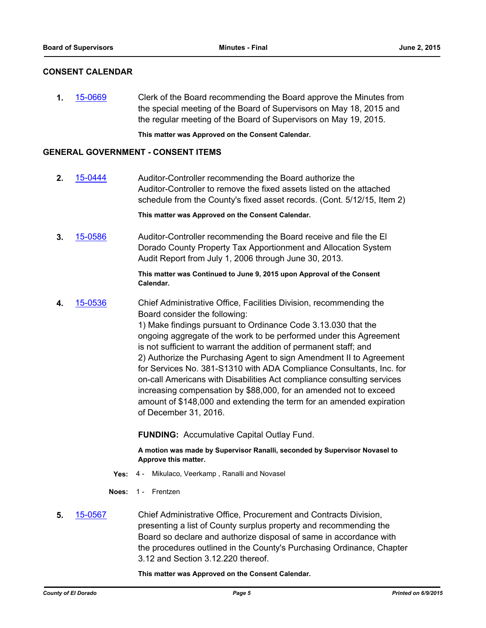## **CONSENT CALENDAR**

**1.** [15-0669](http://eldorado.legistar.com/gateway.aspx?m=l&id=/matter.aspx?key=19841) Clerk of the Board recommending the Board approve the Minutes from the special meeting of the Board of Supervisors on May 18, 2015 and the regular meeting of the Board of Supervisors on May 19, 2015.

**This matter was Approved on the Consent Calendar.**

## **GENERAL GOVERNMENT - CONSENT ITEMS**

**2.** [15-0444](http://eldorado.legistar.com/gateway.aspx?m=l&id=/matter.aspx?key=19616) Auditor-Controller recommending the Board authorize the Auditor-Controller to remove the fixed assets listed on the attached schedule from the County's fixed asset records. (Cont. 5/12/15, Item 2)

**This matter was Approved on the Consent Calendar.**

**3.** [15-0586](http://eldorado.legistar.com/gateway.aspx?m=l&id=/matter.aspx?key=19758) Auditor-Controller recommending the Board receive and file the El Dorado County Property Tax Apportionment and Allocation System Audit Report from July 1, 2006 through June 30, 2013.

> **This matter was Continued to June 9, 2015 upon Approval of the Consent Calendar.**

**4.** [15-0536](http://eldorado.legistar.com/gateway.aspx?m=l&id=/matter.aspx?key=19708) Chief Administrative Office, Facilities Division, recommending the Board consider the following:

> 1) Make findings pursuant to Ordinance Code 3.13.030 that the ongoing aggregate of the work to be performed under this Agreement is not sufficient to warrant the addition of permanent staff; and 2) Authorize the Purchasing Agent to sign Amendment II to Agreement for Services No. 381-S1310 with ADA Compliance Consultants, Inc. for on-call Americans with Disabilities Act compliance consulting services increasing compensation by \$88,000, for an amended not to exceed amount of \$148,000 and extending the term for an amended expiration of December 31, 2016.

**FUNDING:** Accumulative Capital Outlay Fund.

**A motion was made by Supervisor Ranalli, seconded by Supervisor Novasel to Approve this matter.**

- **Yes:** 4 Mikulaco, Veerkamp , Ranalli and Novasel
- **Noes:** 1 Frentzen
- **5.** [15-0567](http://eldorado.legistar.com/gateway.aspx?m=l&id=/matter.aspx?key=19739) Chief Administrative Office, Procurement and Contracts Division, presenting a list of County surplus property and recommending the Board so declare and authorize disposal of same in accordance with the procedures outlined in the County's Purchasing Ordinance, Chapter 3.12 and Section 3.12.220 thereof.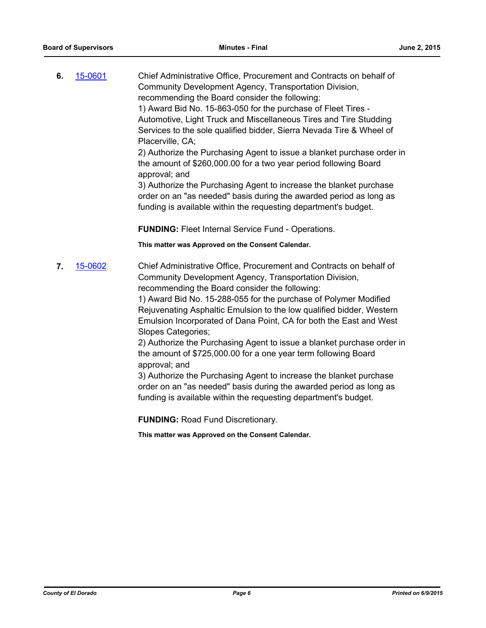**6.** [15-0601](http://eldorado.legistar.com/gateway.aspx?m=l&id=/matter.aspx?key=19773) Chief Administrative Office, Procurement and Contracts on behalf of Community Development Agency, Transportation Division, recommending the Board consider the following: 1) Award Bid No. 15-863-050 for the purchase of Fleet Tires - Automotive, Light Truck and Miscellaneous Tires and Tire Studding Services to the sole qualified bidder, Sierra Nevada Tire & Wheel of Placerville, CA; 2) Authorize the Purchasing Agent to issue a blanket purchase order in the amount of \$260,000.00 for a two year period following Board approval; and 3) Authorize the Purchasing Agent to increase the blanket purchase order on an "as needed" basis during the awarded period as long as funding is available within the requesting department's budget.

**FUNDING:** Fleet Internal Service Fund - Operations.

**This matter was Approved on the Consent Calendar.**

**7.** [15-0602](http://eldorado.legistar.com/gateway.aspx?m=l&id=/matter.aspx?key=19774) Chief Administrative Office, Procurement and Contracts on behalf of Community Development Agency, Transportation Division, recommending the Board consider the following:

> 1) Award Bid No. 15-288-055 for the purchase of Polymer Modified Rejuvenating Asphaltic Emulsion to the low qualified bidder, Western Emulsion Incorporated of Dana Point, CA for both the East and West Slopes Categories;

2) Authorize the Purchasing Agent to issue a blanket purchase order in the amount of \$725,000.00 for a one year term following Board approval; and

3) Authorize the Purchasing Agent to increase the blanket purchase order on an "as needed" basis during the awarded period as long as funding is available within the requesting department's budget.

**FUNDING: Road Fund Discretionary.**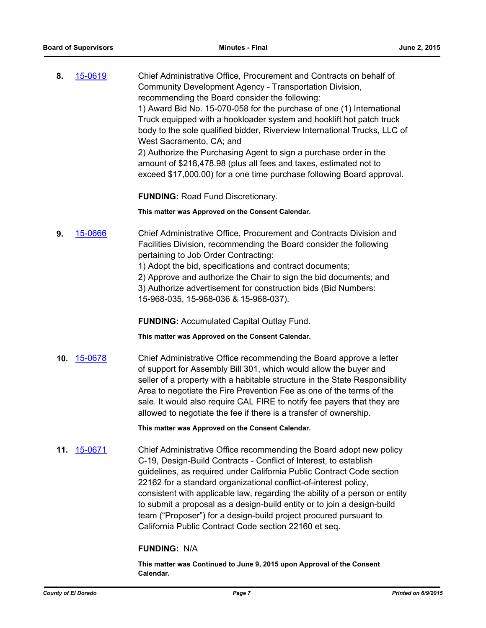**8.** [15-0619](http://eldorado.legistar.com/gateway.aspx?m=l&id=/matter.aspx?key=19791) Chief Administrative Office, Procurement and Contracts on behalf of Community Development Agency - Transportation Division, recommending the Board consider the following: 1) Award Bid No. 15-070-058 for the purchase of one (1) International Truck equipped with a hookloader system and hooklift hot patch truck body to the sole qualified bidder, Riverview International Trucks, LLC of West Sacramento, CA; and 2) Authorize the Purchasing Agent to sign a purchase order in the amount of \$218,478.98 (plus all fees and taxes, estimated not to exceed \$17,000.00) for a one time purchase following Board approval.

**FUNDING:** Road Fund Discretionary.

#### **This matter was Approved on the Consent Calendar.**

**9.** [15-0666](http://eldorado.legistar.com/gateway.aspx?m=l&id=/matter.aspx?key=19838) Chief Administrative Office, Procurement and Contracts Division and Facilities Division, recommending the Board consider the following pertaining to Job Order Contracting:

1) Adopt the bid, specifications and contract documents;

2) Approve and authorize the Chair to sign the bid documents; and 3) Authorize advertisement for construction bids (Bid Numbers: 15-968-035, 15-968-036 & 15-968-037).

**FUNDING:** Accumulated Capital Outlay Fund.

**This matter was Approved on the Consent Calendar.**

**10.** [15-0678](http://eldorado.legistar.com/gateway.aspx?m=l&id=/matter.aspx?key=19850) Chief Administrative Office recommending the Board approve a letter of support for Assembly Bill 301, which would allow the buyer and seller of a property with a habitable structure in the State Responsibility Area to negotiate the Fire Prevention Fee as one of the terms of the sale. It would also require CAL FIRE to notify fee payers that they are allowed to negotiate the fee if there is a transfer of ownership.

**This matter was Approved on the Consent Calendar.**

**11.** [15-0671](http://eldorado.legistar.com/gateway.aspx?m=l&id=/matter.aspx?key=19843) Chief Administrative Office recommending the Board adopt new policy C-19, Design-Build Contracts - Conflict of Interest, to establish guidelines, as required under California Public Contract Code section 22162 for a standard organizational conflict-of-interest policy, consistent with applicable law, regarding the ability of a person or entity to submit a proposal as a design-build entity or to join a design-build team ("Proposer") for a design-build project procured pursuant to California Public Contract Code section 22160 et seq.

## **FUNDING:** N/A

**This matter was Continued to June 9, 2015 upon Approval of the Consent Calendar.**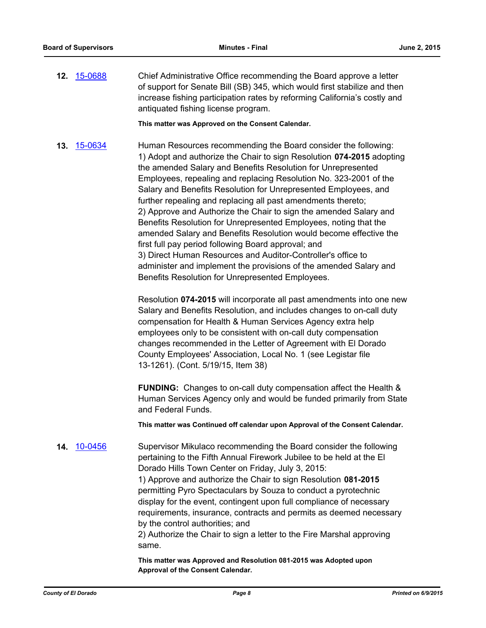**12.** [15-0688](http://eldorado.legistar.com/gateway.aspx?m=l&id=/matter.aspx?key=19861) Chief Administrative Office recommending the Board approve a letter of support for Senate Bill (SB) 345, which would first stabilize and then increase fishing participation rates by reforming California's costly and antiquated fishing license program.

**This matter was Approved on the Consent Calendar.**

**13.** [15-0634](http://eldorado.legistar.com/gateway.aspx?m=l&id=/matter.aspx?key=19806) Human Resources recommending the Board consider the following: 1) Adopt and authorize the Chair to sign Resolution **074-2015** adopting the amended Salary and Benefits Resolution for Unrepresented Employees, repealing and replacing Resolution No. 323-2001 of the Salary and Benefits Resolution for Unrepresented Employees, and further repealing and replacing all past amendments thereto; 2) Approve and Authorize the Chair to sign the amended Salary and Benefits Resolution for Unrepresented Employees, noting that the amended Salary and Benefits Resolution would become effective the first full pay period following Board approval; and 3) Direct Human Resources and Auditor-Controller's office to administer and implement the provisions of the amended Salary and Benefits Resolution for Unrepresented Employees.

> Resolution **074-2015** will incorporate all past amendments into one new Salary and Benefits Resolution, and includes changes to on-call duty compensation for Health & Human Services Agency extra help employees only to be consistent with on-call duty compensation changes recommended in the Letter of Agreement with El Dorado County Employees' Association, Local No. 1 (see Legistar file 13-1261). (Cont. 5/19/15, Item 38)

> **FUNDING:** Changes to on-call duty compensation affect the Health & Human Services Agency only and would be funded primarily from State and Federal Funds.

**This matter was Continued off calendar upon Approval of the Consent Calendar.**

**14.** [10-0456](http://eldorado.legistar.com/gateway.aspx?m=l&id=/matter.aspx?key=11800) Supervisor Mikulaco recommending the Board consider the following pertaining to the Fifth Annual Firework Jubilee to be held at the El Dorado Hills Town Center on Friday, July 3, 2015: 1) Approve and authorize the Chair to sign Resolution **081-2015**  permitting Pyro Spectaculars by Souza to conduct a pyrotechnic display for the event, contingent upon full compliance of necessary requirements, insurance, contracts and permits as deemed necessary by the control authorities; and 2) Authorize the Chair to sign a letter to the Fire Marshal approving same.

> **This matter was Approved and Resolution 081-2015 was Adopted upon Approval of the Consent Calendar.**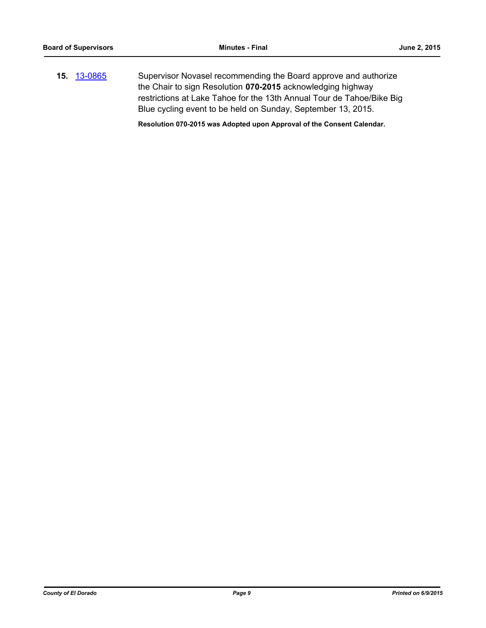**15.** [13-0865](http://eldorado.legistar.com/gateway.aspx?m=l&id=/matter.aspx?key=16758) Supervisor Novasel recommending the Board approve and authorize the Chair to sign Resolution **070-2015** acknowledging highway restrictions at Lake Tahoe for the 13th Annual Tour de Tahoe/Bike Big Blue cycling event to be held on Sunday, September 13, 2015.

**Resolution 070-2015 was Adopted upon Approval of the Consent Calendar.**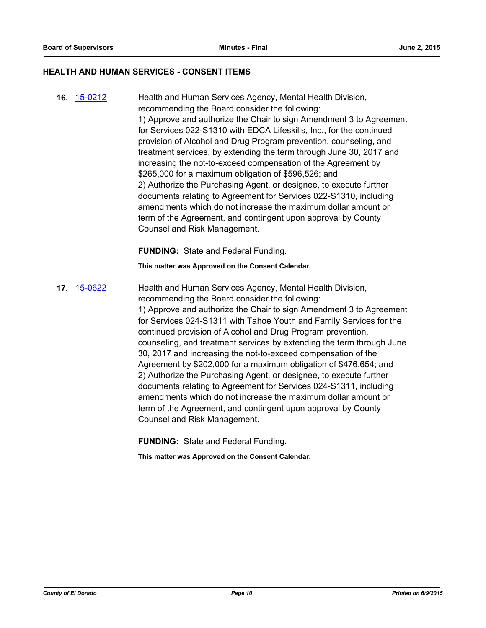#### **HEALTH AND HUMAN SERVICES - CONSENT ITEMS**

**16.** [15-0212](http://eldorado.legistar.com/gateway.aspx?m=l&id=/matter.aspx?key=19386) Health and Human Services Agency, Mental Health Division, recommending the Board consider the following: 1) Approve and authorize the Chair to sign Amendment 3 to Agreement for Services 022-S1310 with EDCA Lifeskills, Inc., for the continued provision of Alcohol and Drug Program prevention, counseling, and treatment services, by extending the term through June 30, 2017 and increasing the not-to-exceed compensation of the Agreement by \$265,000 for a maximum obligation of \$596,526; and 2) Authorize the Purchasing Agent, or designee, to execute further documents relating to Agreement for Services 022-S1310, including amendments which do not increase the maximum dollar amount or term of the Agreement, and contingent upon approval by County Counsel and Risk Management.

**FUNDING:** State and Federal Funding.

**This matter was Approved on the Consent Calendar.**

**17.** [15-0622](http://eldorado.legistar.com/gateway.aspx?m=l&id=/matter.aspx?key=19794) Health and Human Services Agency, Mental Health Division, recommending the Board consider the following: 1) Approve and authorize the Chair to sign Amendment 3 to Agreement for Services 024-S1311 with Tahoe Youth and Family Services for the continued provision of Alcohol and Drug Program prevention, counseling, and treatment services by extending the term through June 30, 2017 and increasing the not-to-exceed compensation of the Agreement by \$202,000 for a maximum obligation of \$476,654; and 2) Authorize the Purchasing Agent, or designee, to execute further documents relating to Agreement for Services 024-S1311, including amendments which do not increase the maximum dollar amount or term of the Agreement, and contingent upon approval by County Counsel and Risk Management.

**FUNDING:** State and Federal Funding.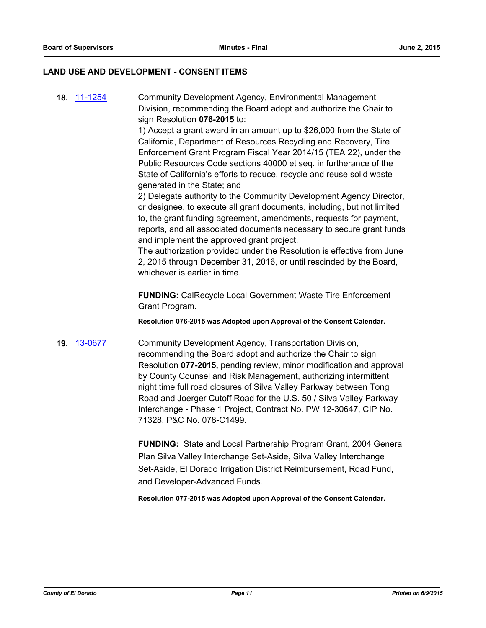## **LAND USE AND DEVELOPMENT - CONSENT ITEMS**

**18.** [11-1254](http://eldorado.legistar.com/gateway.aspx?m=l&id=/matter.aspx?key=14100) Community Development Agency, Environmental Management Division, recommending the Board adopt and authorize the Chair to sign Resolution **076-2015** to:

> 1) Accept a grant award in an amount up to \$26,000 from the State of California, Department of Resources Recycling and Recovery, Tire Enforcement Grant Program Fiscal Year 2014/15 (TEA 22), under the Public Resources Code sections 40000 et seq. in furtherance of the State of California's efforts to reduce, recycle and reuse solid waste generated in the State; and

2) Delegate authority to the Community Development Agency Director, or designee, to execute all grant documents, including, but not limited to, the grant funding agreement, amendments, requests for payment, reports, and all associated documents necessary to secure grant funds and implement the approved grant project.

The authorization provided under the Resolution is effective from June 2, 2015 through December 31, 2016, or until rescinded by the Board, whichever is earlier in time.

**FUNDING:** CalRecycle Local Government Waste Tire Enforcement Grant Program.

**Resolution 076-2015 was Adopted upon Approval of the Consent Calendar.**

**19.** [13-0677](http://eldorado.legistar.com/gateway.aspx?m=l&id=/matter.aspx?key=16567) Community Development Agency, Transportation Division, recommending the Board adopt and authorize the Chair to sign Resolution **077-2015,** pending review, minor modification and approval by County Counsel and Risk Management, authorizing intermittent night time full road closures of Silva Valley Parkway between Tong Road and Joerger Cutoff Road for the U.S. 50 / Silva Valley Parkway Interchange - Phase 1 Project, Contract No. PW 12-30647, CIP No. 71328, P&C No. 078-C1499.

> **FUNDING:** State and Local Partnership Program Grant, 2004 General Plan Silva Valley Interchange Set-Aside, Silva Valley Interchange Set-Aside, El Dorado Irrigation District Reimbursement, Road Fund, and Developer-Advanced Funds.

**Resolution 077-2015 was Adopted upon Approval of the Consent Calendar.**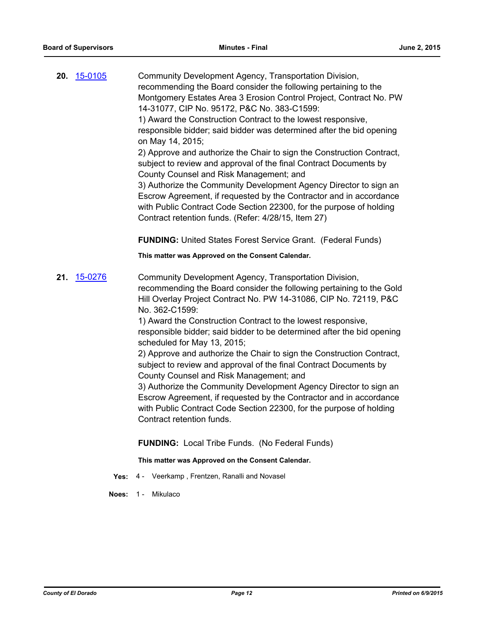| 20. 15-0105 | Community Development Agency, Transportation Division,<br>recommending the Board consider the following pertaining to the<br>Montgomery Estates Area 3 Erosion Control Project, Contract No. PW<br>14-31077, CIP No. 95172, P&C No. 383-C1599:<br>1) Award the Construction Contract to the lowest responsive,<br>responsible bidder; said bidder was determined after the bid opening<br>on May 14, 2015;<br>2) Approve and authorize the Chair to sign the Construction Contract,<br>subject to review and approval of the final Contract Documents by<br>County Counsel and Risk Management; and<br>3) Authorize the Community Development Agency Director to sign an<br>Escrow Agreement, if requested by the Contractor and in accordance<br>with Public Contract Code Section 22300, for the purpose of holding<br>Contract retention funds. (Refer: 4/28/15, Item 27)<br><b>FUNDING:</b> United States Forest Service Grant. (Federal Funds)<br>This matter was Approved on the Consent Calendar. |
|-------------|----------------------------------------------------------------------------------------------------------------------------------------------------------------------------------------------------------------------------------------------------------------------------------------------------------------------------------------------------------------------------------------------------------------------------------------------------------------------------------------------------------------------------------------------------------------------------------------------------------------------------------------------------------------------------------------------------------------------------------------------------------------------------------------------------------------------------------------------------------------------------------------------------------------------------------------------------------------------------------------------------------|
|             |                                                                                                                                                                                                                                                                                                                                                                                                                                                                                                                                                                                                                                                                                                                                                                                                                                                                                                                                                                                                          |
| 21. 15-0276 | Community Development Agency, Transportation Division,<br>recommending the Board consider the following pertaining to the Gold<br>Hill Overlay Project Contract No. PW 14-31086, CIP No. 72119, P&C<br>No. 362-C1599:<br>1) Award the Construction Contract to the lowest responsive,<br>responsible bidder; said bidder to be determined after the bid opening<br>scheduled for May 13, 2015;<br>2) Approve and authorize the Chair to sign the Construction Contract,<br>subject to review and approval of the final Contract Documents by<br>County Counsel and Risk Management; and<br>3) Authorize the Community Development Agency Director to sign an<br>Escrow Agreement, if requested by the Contractor and in accordance<br>with Public Contract Code Section 22300, for the purpose of holding<br>Contract retention funds.                                                                                                                                                                   |
|             | <b>FUNDING:</b> Local Tribe Funds. (No Federal Funds)                                                                                                                                                                                                                                                                                                                                                                                                                                                                                                                                                                                                                                                                                                                                                                                                                                                                                                                                                    |
|             | This matter was Approved on the Consent Calendar.                                                                                                                                                                                                                                                                                                                                                                                                                                                                                                                                                                                                                                                                                                                                                                                                                                                                                                                                                        |
| Yes:        | Veerkamp, Frentzen, Ranalli and Novasel<br>4 -                                                                                                                                                                                                                                                                                                                                                                                                                                                                                                                                                                                                                                                                                                                                                                                                                                                                                                                                                           |
| Noes:       | Mikulaco<br>$1 -$                                                                                                                                                                                                                                                                                                                                                                                                                                                                                                                                                                                                                                                                                                                                                                                                                                                                                                                                                                                        |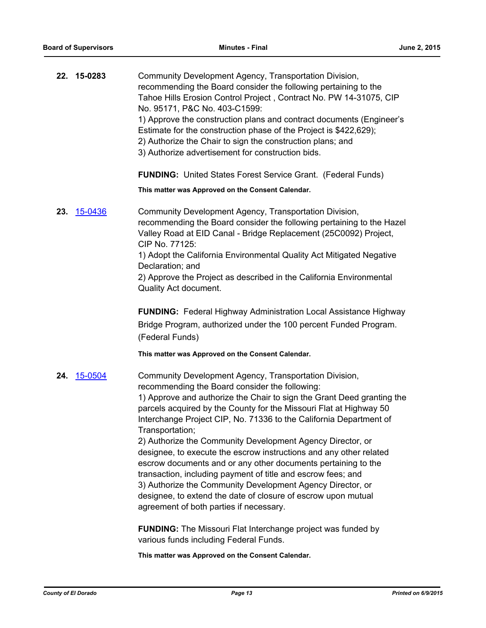| 22. | 15-0283 | Community Development Agency, Transportation Division,<br>recommending the Board consider the following pertaining to the<br>Tahoe Hills Erosion Control Project, Contract No. PW 14-31075, CIP<br>No. 95171, P&C No. 403-C1599:<br>1) Approve the construction plans and contract documents (Engineer's<br>Estimate for the construction phase of the Project is \$422,629);<br>2) Authorize the Chair to sign the construction plans; and<br>3) Authorize advertisement for construction bids.                                                                                                                                                                                                                                                                                                 |
|-----|---------|--------------------------------------------------------------------------------------------------------------------------------------------------------------------------------------------------------------------------------------------------------------------------------------------------------------------------------------------------------------------------------------------------------------------------------------------------------------------------------------------------------------------------------------------------------------------------------------------------------------------------------------------------------------------------------------------------------------------------------------------------------------------------------------------------|
|     |         | <b>FUNDING:</b> United States Forest Service Grant. (Federal Funds)                                                                                                                                                                                                                                                                                                                                                                                                                                                                                                                                                                                                                                                                                                                              |
|     |         | This matter was Approved on the Consent Calendar.                                                                                                                                                                                                                                                                                                                                                                                                                                                                                                                                                                                                                                                                                                                                                |
| 23. | 15-0436 | Community Development Agency, Transportation Division,<br>recommending the Board consider the following pertaining to the Hazel<br>Valley Road at EID Canal - Bridge Replacement (25C0092) Project,<br>CIP No. 77125:<br>1) Adopt the California Environmental Quality Act Mitigated Negative<br>Declaration; and<br>2) Approve the Project as described in the California Environmental<br>Quality Act document.                                                                                                                                                                                                                                                                                                                                                                                |
|     |         | <b>FUNDING:</b> Federal Highway Administration Local Assistance Highway<br>Bridge Program, authorized under the 100 percent Funded Program.<br>(Federal Funds)                                                                                                                                                                                                                                                                                                                                                                                                                                                                                                                                                                                                                                   |
|     |         | This matter was Approved on the Consent Calendar.                                                                                                                                                                                                                                                                                                                                                                                                                                                                                                                                                                                                                                                                                                                                                |
| 24. | 15-0504 | Community Development Agency, Transportation Division,<br>recommending the Board consider the following:<br>1) Approve and authorize the Chair to sign the Grant Deed granting the<br>parcels acquired by the County for the Missouri Flat at Highway 50<br>Interchange Project CIP, No. 71336 to the California Department of<br>Transportation;<br>2) Authorize the Community Development Agency Director, or<br>designee, to execute the escrow instructions and any other related<br>escrow documents and or any other documents pertaining to the<br>transaction, including payment of title and escrow fees; and<br>3) Authorize the Community Development Agency Director, or<br>designee, to extend the date of closure of escrow upon mutual<br>agreement of both parties if necessary. |
|     |         | <b>FUNDING:</b> The Missouri Flat Interchange project was funded by<br>various funds including Federal Funds.                                                                                                                                                                                                                                                                                                                                                                                                                                                                                                                                                                                                                                                                                    |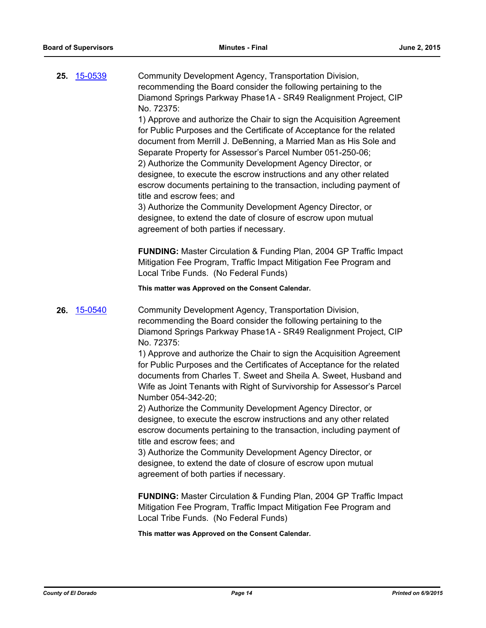**25.** [15-0539](http://eldorado.legistar.com/gateway.aspx?m=l&id=/matter.aspx?key=19711) Community Development Agency, Transportation Division, recommending the Board consider the following pertaining to the Diamond Springs Parkway Phase1A - SR49 Realignment Project, CIP No. 72375:

1) Approve and authorize the Chair to sign the Acquisition Agreement for Public Purposes and the Certificate of Acceptance for the related document from Merrill J. DeBenning, a Married Man as His Sole and Separate Property for Assessor's Parcel Number 051-250-06; 2) Authorize the Community Development Agency Director, or designee, to execute the escrow instructions and any other related escrow documents pertaining to the transaction, including payment of title and escrow fees; and

3) Authorize the Community Development Agency Director, or designee, to extend the date of closure of escrow upon mutual agreement of both parties if necessary.

**FUNDING:** Master Circulation & Funding Plan, 2004 GP Traffic Impact Mitigation Fee Program, Traffic Impact Mitigation Fee Program and Local Tribe Funds. (No Federal Funds)

**This matter was Approved on the Consent Calendar.**

**26.** [15-0540](http://eldorado.legistar.com/gateway.aspx?m=l&id=/matter.aspx?key=19712) Community Development Agency, Transportation Division, recommending the Board consider the following pertaining to the Diamond Springs Parkway Phase1A - SR49 Realignment Project, CIP No. 72375:

> 1) Approve and authorize the Chair to sign the Acquisition Agreement for Public Purposes and the Certificates of Acceptance for the related documents from Charles T. Sweet and Sheila A. Sweet, Husband and Wife as Joint Tenants with Right of Survivorship for Assessor's Parcel Number 054-342-20;

> 2) Authorize the Community Development Agency Director, or designee, to execute the escrow instructions and any other related escrow documents pertaining to the transaction, including payment of title and escrow fees; and

3) Authorize the Community Development Agency Director, or designee, to extend the date of closure of escrow upon mutual agreement of both parties if necessary.

**FUNDING:** Master Circulation & Funding Plan, 2004 GP Traffic Impact Mitigation Fee Program, Traffic Impact Mitigation Fee Program and Local Tribe Funds. (No Federal Funds)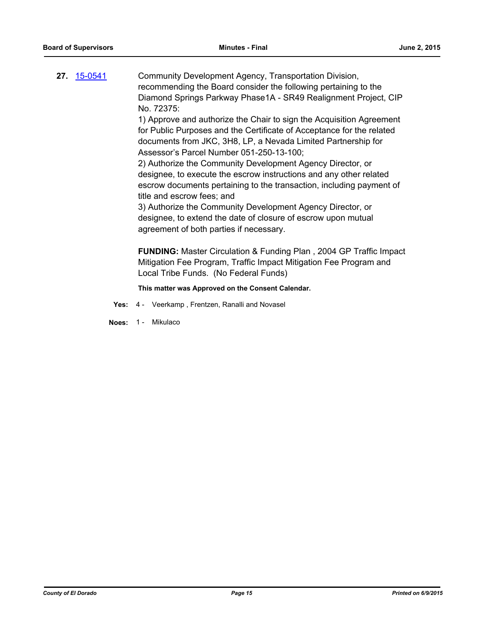**27.** [15-0541](http://eldorado.legistar.com/gateway.aspx?m=l&id=/matter.aspx?key=19713) Community Development Agency, Transportation Division, recommending the Board consider the following pertaining to the Diamond Springs Parkway Phase1A - SR49 Realignment Project, CIP No. 72375:

1) Approve and authorize the Chair to sign the Acquisition Agreement for Public Purposes and the Certificate of Acceptance for the related documents from JKC, 3H8, LP, a Nevada Limited Partnership for Assessor's Parcel Number 051-250-13-100;

2) Authorize the Community Development Agency Director, or designee, to execute the escrow instructions and any other related escrow documents pertaining to the transaction, including payment of title and escrow fees; and

3) Authorize the Community Development Agency Director, or designee, to extend the date of closure of escrow upon mutual agreement of both parties if necessary.

**FUNDING:** Master Circulation & Funding Plan , 2004 GP Traffic Impact Mitigation Fee Program, Traffic Impact Mitigation Fee Program and Local Tribe Funds. (No Federal Funds)

- **Yes:** 4 Veerkamp , Frentzen, Ranalli and Novasel
- **Noes:** 1 Mikulaco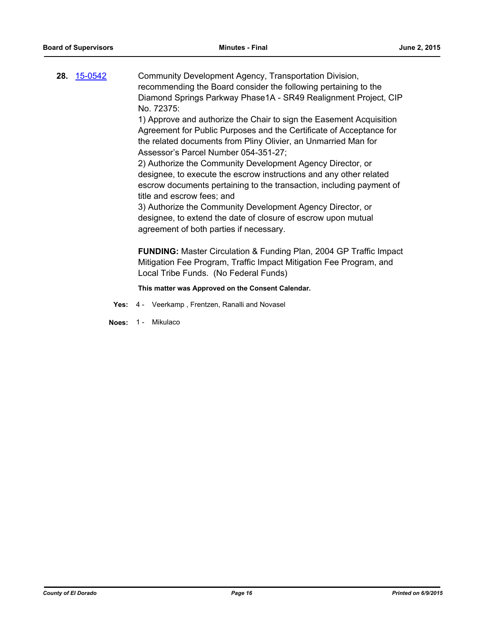**28.** [15-0542](http://eldorado.legistar.com/gateway.aspx?m=l&id=/matter.aspx?key=19714) Community Development Agency, Transportation Division, recommending the Board consider the following pertaining to the Diamond Springs Parkway Phase1A - SR49 Realignment Project, CIP No. 72375:

1) Approve and authorize the Chair to sign the Easement Acquisition Agreement for Public Purposes and the Certificate of Acceptance for the related documents from Pliny Olivier, an Unmarried Man for Assessor's Parcel Number 054-351-27;

2) Authorize the Community Development Agency Director, or designee, to execute the escrow instructions and any other related escrow documents pertaining to the transaction, including payment of title and escrow fees; and

3) Authorize the Community Development Agency Director, or designee, to extend the date of closure of escrow upon mutual agreement of both parties if necessary.

**FUNDING:** Master Circulation & Funding Plan, 2004 GP Traffic Impact Mitigation Fee Program, Traffic Impact Mitigation Fee Program, and Local Tribe Funds. (No Federal Funds)

- **Yes:** 4 Veerkamp , Frentzen, Ranalli and Novasel
- **Noes:** 1 Mikulaco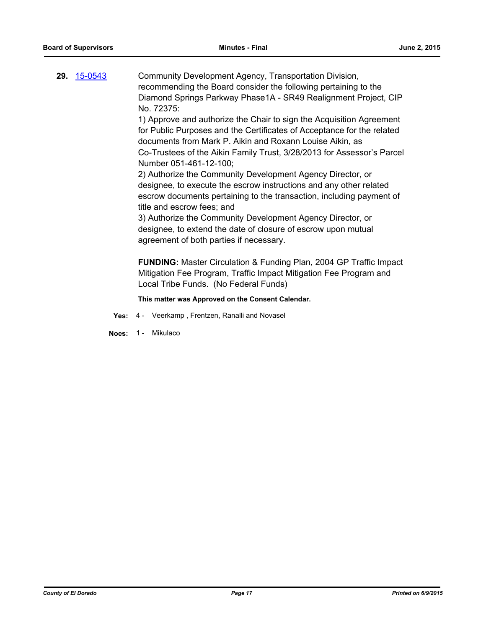**29.** [15-0543](http://eldorado.legistar.com/gateway.aspx?m=l&id=/matter.aspx?key=19715) Community Development Agency, Transportation Division, recommending the Board consider the following pertaining to the Diamond Springs Parkway Phase1A - SR49 Realignment Project, CIP No. 72375: 1) Approve and authorize the Chair to sign the Acquisition Agreement for Public Purposes and the Certificates of Acceptance for the related documents from Mark P. Aikin and Roxann Louise Aikin, as Co-Trustees of the Aikin Family Trust, 3/28/2013 for Assessor's Parcel Number 051-461-12-100; 2) Authorize the Community Development Agency Director, or designee, to execute the escrow instructions and any other related escrow documents pertaining to the transaction, including payment of title and escrow fees; and

> 3) Authorize the Community Development Agency Director, or designee, to extend the date of closure of escrow upon mutual agreement of both parties if necessary.

**FUNDING:** Master Circulation & Funding Plan, 2004 GP Traffic Impact Mitigation Fee Program, Traffic Impact Mitigation Fee Program and Local Tribe Funds. (No Federal Funds)

- **Yes:** 4 Veerkamp , Frentzen, Ranalli and Novasel
- **Noes:** 1 Mikulaco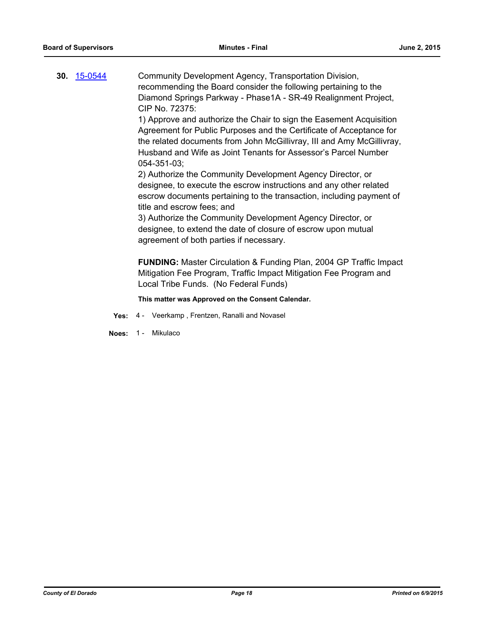**30.** [15-0544](http://eldorado.legistar.com/gateway.aspx?m=l&id=/matter.aspx?key=19716) Community Development Agency, Transportation Division, recommending the Board consider the following pertaining to the Diamond Springs Parkway - Phase1A - SR-49 Realignment Project, CIP No. 72375: 1) Approve and authorize the Chair to sign the Easement Acquisition

Agreement for Public Purposes and the Certificate of Acceptance for the related documents from John McGillivray, III and Amy McGillivray, Husband and Wife as Joint Tenants for Assessor's Parcel Number 054-351-03;

2) Authorize the Community Development Agency Director, or designee, to execute the escrow instructions and any other related escrow documents pertaining to the transaction, including payment of title and escrow fees; and

3) Authorize the Community Development Agency Director, or designee, to extend the date of closure of escrow upon mutual agreement of both parties if necessary.

**FUNDING:** Master Circulation & Funding Plan, 2004 GP Traffic Impact Mitigation Fee Program, Traffic Impact Mitigation Fee Program and Local Tribe Funds. (No Federal Funds)

- **Yes:** 4 Veerkamp , Frentzen, Ranalli and Novasel
- **Noes:** 1 Mikulaco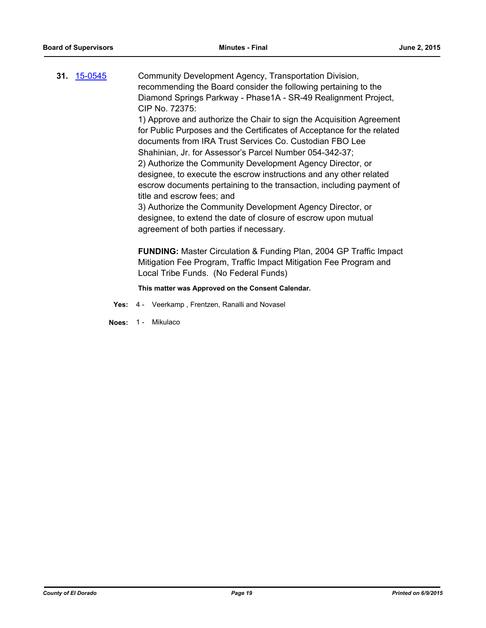**31.** [15-0545](http://eldorado.legistar.com/gateway.aspx?m=l&id=/matter.aspx?key=19717) Community Development Agency, Transportation Division, recommending the Board consider the following pertaining to the Diamond Springs Parkway - Phase1A - SR-49 Realignment Project, CIP No. 72375: 1) Approve and authorize the Chair to sign the Acquisition Agreement

for Public Purposes and the Certificates of Acceptance for the related documents from IRA Trust Services Co. Custodian FBO Lee Shahinian, Jr. for Assessor's Parcel Number 054-342-37; 2) Authorize the Community Development Agency Director, or designee, to execute the escrow instructions and any other related escrow documents pertaining to the transaction, including payment of title and escrow fees; and

3) Authorize the Community Development Agency Director, or designee, to extend the date of closure of escrow upon mutual agreement of both parties if necessary.

**FUNDING:** Master Circulation & Funding Plan, 2004 GP Traffic Impact Mitigation Fee Program, Traffic Impact Mitigation Fee Program and Local Tribe Funds. (No Federal Funds)

- **Yes:** 4 Veerkamp , Frentzen, Ranalli and Novasel
- **Noes:** 1 Mikulaco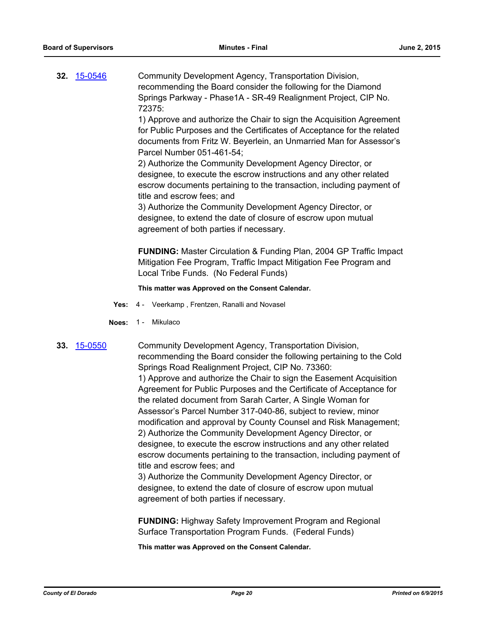**32.** [15-0546](http://eldorado.legistar.com/gateway.aspx?m=l&id=/matter.aspx?key=19718) Community Development Agency, Transportation Division, recommending the Board consider the following for the Diamond Springs Parkway - Phase1A - SR-49 Realignment Project, CIP No. 72375:

1) Approve and authorize the Chair to sign the Acquisition Agreement for Public Purposes and the Certificates of Acceptance for the related documents from Fritz W. Beyerlein, an Unmarried Man for Assessor's Parcel Number 051-461-54;

2) Authorize the Community Development Agency Director, or designee, to execute the escrow instructions and any other related escrow documents pertaining to the transaction, including payment of title and escrow fees; and

3) Authorize the Community Development Agency Director, or designee, to extend the date of closure of escrow upon mutual agreement of both parties if necessary.

**FUNDING:** Master Circulation & Funding Plan, 2004 GP Traffic Impact Mitigation Fee Program, Traffic Impact Mitigation Fee Program and Local Tribe Funds. (No Federal Funds)

#### **This matter was Approved on the Consent Calendar.**

- Yes: 4 Veerkamp, Frentzen, Ranalli and Novasel
- **Noes:** 1 Mikulaco
- 

**33.** [15-0550](http://eldorado.legistar.com/gateway.aspx?m=l&id=/matter.aspx?key=19722) Community Development Agency, Transportation Division, recommending the Board consider the following pertaining to the Cold Springs Road Realignment Project, CIP No. 73360: 1) Approve and authorize the Chair to sign the Easement Acquisition Agreement for Public Purposes and the Certificate of Acceptance for the related document from Sarah Carter, A Single Woman for Assessor's Parcel Number 317-040-86, subject to review, minor modification and approval by County Counsel and Risk Management; 2) Authorize the Community Development Agency Director, or designee, to execute the escrow instructions and any other related escrow documents pertaining to the transaction, including payment of title and escrow fees; and

3) Authorize the Community Development Agency Director, or designee, to extend the date of closure of escrow upon mutual agreement of both parties if necessary.

**FUNDING:** Highway Safety Improvement Program and Regional Surface Transportation Program Funds. (Federal Funds)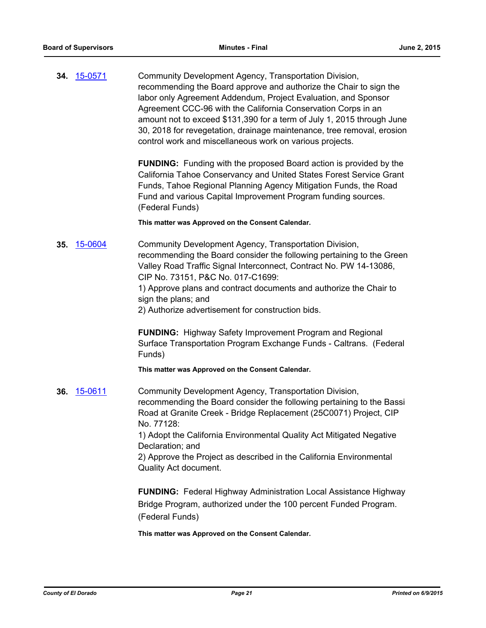**34.** [15-0571](http://eldorado.legistar.com/gateway.aspx?m=l&id=/matter.aspx?key=19743) Community Development Agency, Transportation Division, recommending the Board approve and authorize the Chair to sign the labor only Agreement Addendum, Project Evaluation, and Sponsor Agreement CCC-96 with the California Conservation Corps in an amount not to exceed \$131,390 for a term of July 1, 2015 through June 30, 2018 for revegetation, drainage maintenance, tree removal, erosion control work and miscellaneous work on various projects.

> **FUNDING:** Funding with the proposed Board action is provided by the California Tahoe Conservancy and United States Forest Service Grant Funds, Tahoe Regional Planning Agency Mitigation Funds, the Road Fund and various Capital Improvement Program funding sources. (Federal Funds)

**This matter was Approved on the Consent Calendar.**

**35.** [15-0604](http://eldorado.legistar.com/gateway.aspx?m=l&id=/matter.aspx?key=19776) Community Development Agency, Transportation Division, recommending the Board consider the following pertaining to the Green Valley Road Traffic Signal Interconnect, Contract No. PW 14-13086, CIP No. 73151, P&C No. 017-C1699: 1) Approve plans and contract documents and authorize the Chair to

sign the plans; and

2) Authorize advertisement for construction bids.

**FUNDING:** Highway Safety Improvement Program and Regional Surface Transportation Program Exchange Funds - Caltrans. (Federal Funds)

**This matter was Approved on the Consent Calendar.**

**36.** [15-0611](http://eldorado.legistar.com/gateway.aspx?m=l&id=/matter.aspx?key=19783) Community Development Agency, Transportation Division, recommending the Board consider the following pertaining to the Bassi Road at Granite Creek - Bridge Replacement (25C0071) Project, CIP No. 77128:

> 1) Adopt the California Environmental Quality Act Mitigated Negative Declaration; and

2) Approve the Project as described in the California Environmental Quality Act document.

**FUNDING:** Federal Highway Administration Local Assistance Highway Bridge Program, authorized under the 100 percent Funded Program. (Federal Funds)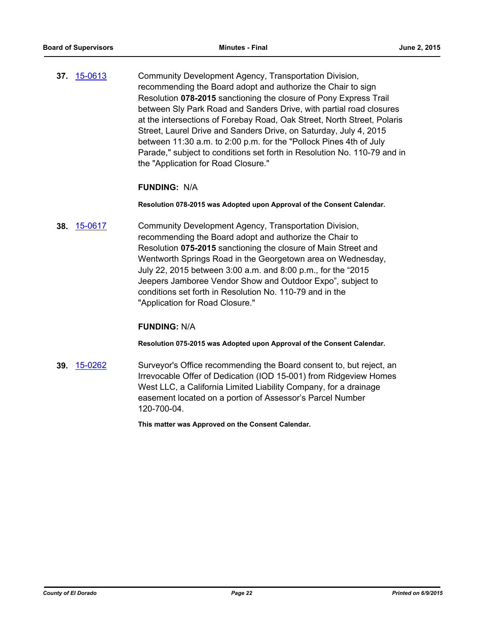**37.** [15-0613](http://eldorado.legistar.com/gateway.aspx?m=l&id=/matter.aspx?key=19785) Community Development Agency, Transportation Division, recommending the Board adopt and authorize the Chair to sign Resolution **078-2015** sanctioning the closure of Pony Express Trail between Sly Park Road and Sanders Drive, with partial road closures at the intersections of Forebay Road, Oak Street, North Street, Polaris Street, Laurel Drive and Sanders Drive, on Saturday, July 4, 2015 between 11:30 a.m. to 2:00 p.m. for the "Pollock Pines 4th of July Parade," subject to conditions set forth in Resolution No. 110-79 and in the "Application for Road Closure."

## **FUNDING:** N/A

#### **Resolution 078-2015 was Adopted upon Approval of the Consent Calendar.**

**38.** [15-0617](http://eldorado.legistar.com/gateway.aspx?m=l&id=/matter.aspx?key=19789) Community Development Agency, Transportation Division, recommending the Board adopt and authorize the Chair to Resolution **075-2015** sanctioning the closure of Main Street and Wentworth Springs Road in the Georgetown area on Wednesday, July 22, 2015 between 3:00 a.m. and 8:00 p.m., for the "2015 Jeepers Jamboree Vendor Show and Outdoor Expo", subject to conditions set forth in Resolution No. 110-79 and in the "Application for Road Closure."

## **FUNDING:** N/A

#### **Resolution 075-2015 was Adopted upon Approval of the Consent Calendar.**

**39.** [15-0262](http://eldorado.legistar.com/gateway.aspx?m=l&id=/matter.aspx?key=19436) Surveyor's Office recommending the Board consent to, but reject, an Irrevocable Offer of Dedication (IOD 15-001) from Ridgeview Homes West LLC, a California Limited Liability Company, for a drainage easement located on a portion of Assessor's Parcel Number 120-700-04*.*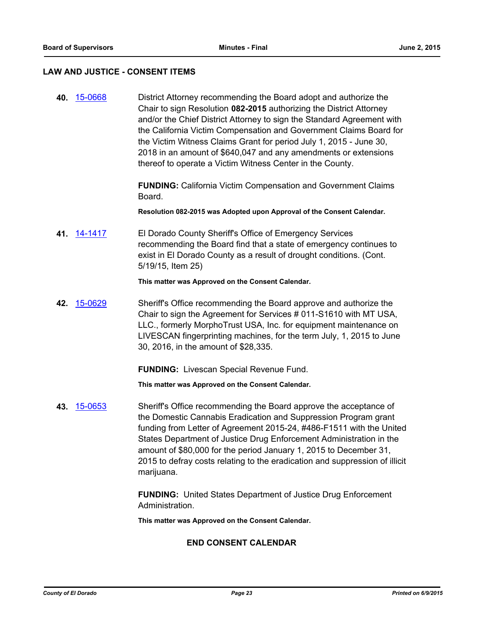#### **LAW AND JUSTICE - CONSENT ITEMS**

**40.** [15-0668](http://eldorado.legistar.com/gateway.aspx?m=l&id=/matter.aspx?key=19840) District Attorney recommending the Board adopt and authorize the Chair to sign Resolution **082-2015** authorizing the District Attorney and/or the Chief District Attorney to sign the Standard Agreement with the California Victim Compensation and Government Claims Board for the Victim Witness Claims Grant for period July 1, 2015 - June 30, 2018 in an amount of \$640,047 and any amendments or extensions thereof to operate a Victim Witness Center in the County.

> **FUNDING:** California Victim Compensation and Government Claims Board.

**Resolution 082-2015 was Adopted upon Approval of the Consent Calendar.**

**41.** [14-1417](http://eldorado.legistar.com/gateway.aspx?m=l&id=/matter.aspx?key=18901) El Dorado County Sheriff's Office of Emergency Services recommending the Board find that a state of emergency continues to exist in El Dorado County as a result of drought conditions. (Cont. 5/19/15, Item 25)

**This matter was Approved on the Consent Calendar.**

**42.** [15-0629](http://eldorado.legistar.com/gateway.aspx?m=l&id=/matter.aspx?key=19801) Sheriff's Office recommending the Board approve and authorize the Chair to sign the Agreement for Services # 011-S1610 with MT USA, LLC., formerly MorphoTrust USA, Inc. for equipment maintenance on LIVESCAN fingerprinting machines, for the term July, 1, 2015 to June 30, 2016, in the amount of \$28,335.

**FUNDING:** Livescan Special Revenue Fund.

**This matter was Approved on the Consent Calendar.**

**43.** [15-0653](http://eldorado.legistar.com/gateway.aspx?m=l&id=/matter.aspx?key=19825) Sheriff's Office recommending the Board approve the acceptance of the Domestic Cannabis Eradication and Suppression Program grant funding from Letter of Agreement 2015-24, #486-F1511 with the United States Department of Justice Drug Enforcement Administration in the amount of \$80,000 for the period January 1, 2015 to December 31, 2015 to defray costs relating to the eradication and suppression of illicit marijuana.

> **FUNDING:** United States Department of Justice Drug Enforcement Administration.

**This matter was Approved on the Consent Calendar.**

## **END CONSENT CALENDAR**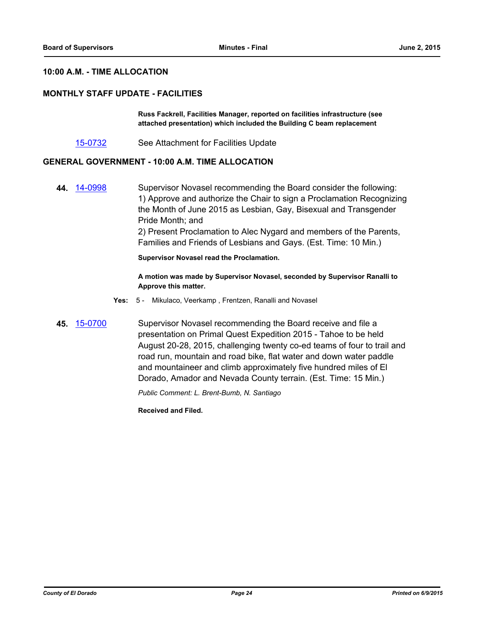## **10:00 A.M. - TIME ALLOCATION**

## **MONTHLY STAFF UPDATE - FACILITIES**

**Russ Fackrell, Facilities Manager, reported on facilities infrastructure (see attached presentation) which included the Building C beam replacement**

[15-0732](http://eldorado.legistar.com/gateway.aspx?m=l&id=/matter.aspx?key=19907) See Attachment for Facilities Update

## **GENERAL GOVERNMENT - 10:00 A.M. TIME ALLOCATION**

**44.** [14-0998](http://eldorado.legistar.com/gateway.aspx?m=l&id=/matter.aspx?key=18483) Supervisor Novasel recommending the Board consider the following: 1) Approve and authorize the Chair to sign a Proclamation Recognizing the Month of June 2015 as Lesbian, Gay, Bisexual and Transgender Pride Month; and 2) Present Proclamation to Alec Nygard and members of the Parents, Families and Friends of Lesbians and Gays. (Est. Time: 10 Min.)

**Supervisor Novasel read the Proclamation.**

**A motion was made by Supervisor Novasel, seconded by Supervisor Ranalli to Approve this matter.**

- **Yes:** 5 Mikulaco, Veerkamp , Frentzen, Ranalli and Novasel
- **45.** [15-0700](http://eldorado.legistar.com/gateway.aspx?m=l&id=/matter.aspx?key=19873) Supervisor Novasel recommending the Board receive and file a presentation on Primal Quest Expedition 2015 - Tahoe to be held August 20-28, 2015, challenging twenty co-ed teams of four to trail and road run, mountain and road bike, flat water and down water paddle and mountaineer and climb approximately five hundred miles of El Dorado, Amador and Nevada County terrain. (Est. Time: 15 Min.)

*Public Comment: L. Brent-Bumb, N. Santiago*

**Received and Filed.**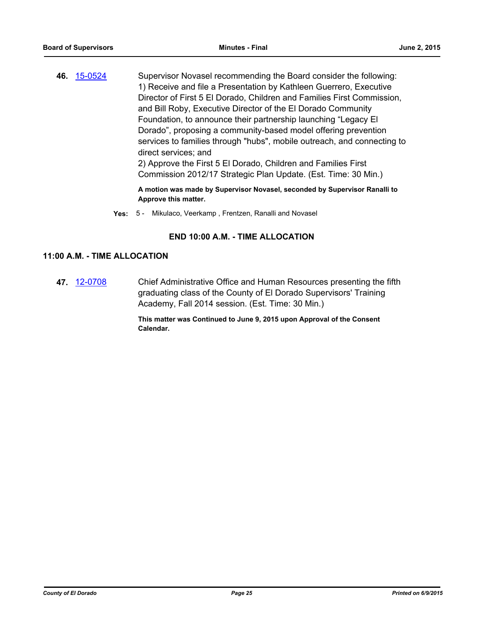**46.** [15-0524](http://eldorado.legistar.com/gateway.aspx?m=l&id=/matter.aspx?key=19696) Supervisor Novasel recommending the Board consider the following: 1) Receive and file a Presentation by Kathleen Guerrero, Executive Director of First 5 El Dorado, Children and Families First Commission, and Bill Roby, Executive Director of the El Dorado Community Foundation, to announce their partnership launching "Legacy El Dorado", proposing a community-based model offering prevention services to families through "hubs", mobile outreach, and connecting to direct services; and 2) Approve the First 5 El Dorado, Children and Families First

Commission 2012/17 Strategic Plan Update. (Est. Time: 30 Min.)

**A motion was made by Supervisor Novasel, seconded by Supervisor Ranalli to Approve this matter.**

**Yes:** 5 - Mikulaco, Veerkamp , Frentzen, Ranalli and Novasel

## **END 10:00 A.M. - TIME ALLOCATION**

### **11:00 A.M. - TIME ALLOCATION**

**47.** [12-0708](http://eldorado.legistar.com/gateway.aspx?m=l&id=/matter.aspx?key=15001) Chief Administrative Office and Human Resources presenting the fifth graduating class of the County of El Dorado Supervisors' Training Academy, Fall 2014 session. (Est. Time: 30 Min.)

> **This matter was Continued to June 9, 2015 upon Approval of the Consent Calendar.**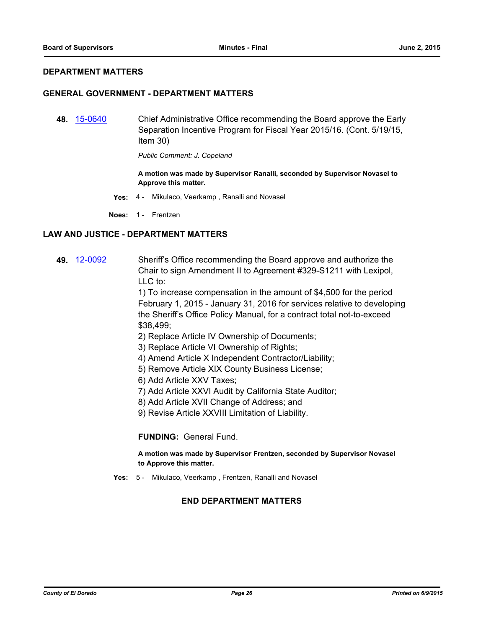#### **DEPARTMENT MATTERS**

## **GENERAL GOVERNMENT - DEPARTMENT MATTERS**

**48.** [15-0640](http://eldorado.legistar.com/gateway.aspx?m=l&id=/matter.aspx?key=19812) Chief Administrative Office recommending the Board approve the Early Separation Incentive Program for Fiscal Year 2015/16. (Cont. 5/19/15, Item 30)

*Public Comment: J. Copeland*

**A motion was made by Supervisor Ranalli, seconded by Supervisor Novasel to Approve this matter.**

**Yes:** 4 - Mikulaco, Veerkamp , Ranalli and Novasel

**Noes:** 1 - Frentzen

### **LAW AND JUSTICE - DEPARTMENT MATTERS**

**49.** [12-0092](http://eldorado.legistar.com/gateway.aspx?m=l&id=/matter.aspx?key=14377) Sheriff's Office recommending the Board approve and authorize the Chair to sign Amendment II to Agreement #329-S1211 with Lexipol, LLC to:

> 1) To increase compensation in the amount of \$4,500 for the period February 1, 2015 - January 31, 2016 for services relative to developing the Sheriff's Office Policy Manual, for a contract total not-to-exceed \$38,499;

- 2) Replace Article IV Ownership of Documents;
- 3) Replace Article VI Ownership of Rights;
- 4) Amend Article X Independent Contractor/Liability;
- 5) Remove Article XIX County Business License;
- 6) Add Article XXV Taxes;
- 7) Add Article XXVI Audit by California State Auditor;
- 8) Add Article XVII Change of Address; and
- 9) Revise Article XXVIII Limitation of Liability.

**FUNDING:** General Fund.

**A motion was made by Supervisor Frentzen, seconded by Supervisor Novasel to Approve this matter.**

**Yes:** 5 - Mikulaco, Veerkamp , Frentzen, Ranalli and Novasel

#### **END DEPARTMENT MATTERS**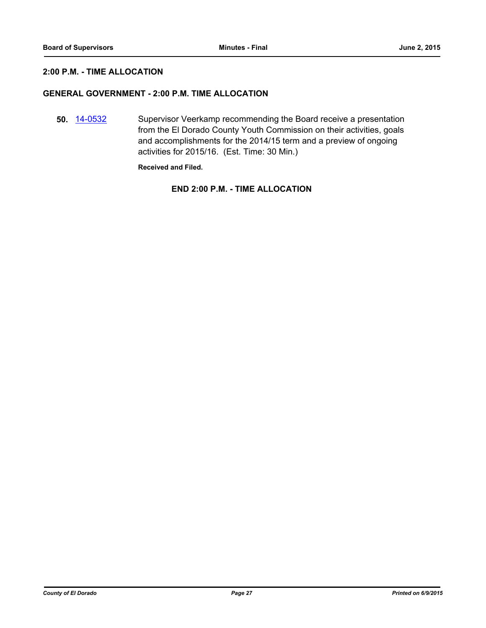## **2:00 P.M. - TIME ALLOCATION**

## **GENERAL GOVERNMENT - 2:00 P.M. TIME ALLOCATION**

**50.** [14-0532](http://eldorado.legistar.com/gateway.aspx?m=l&id=/matter.aspx?key=18015) Supervisor Veerkamp recommending the Board receive a presentation from the El Dorado County Youth Commission on their activities, goals and accomplishments for the 2014/15 term and a preview of ongoing activities for 2015/16. (Est. Time: 30 Min.)

**Received and Filed.**

**END 2:00 P.M. - TIME ALLOCATION**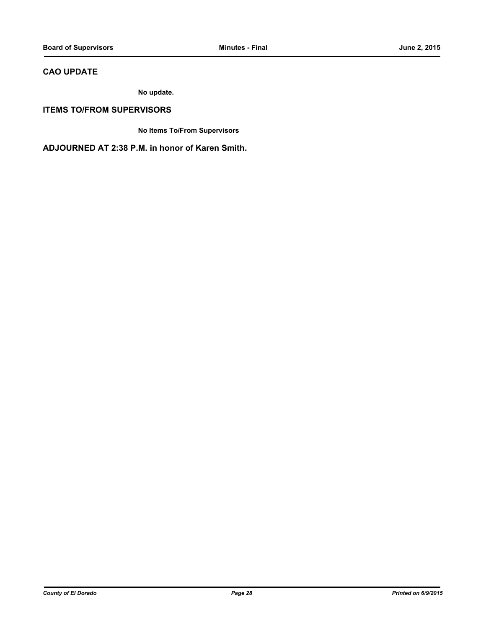## **CAO UPDATE**

**No update.**

## **ITEMS TO/FROM SUPERVISORS**

**No Items To/From Supervisors**

**ADJOURNED AT 2:38 P.M. in honor of Karen Smith.**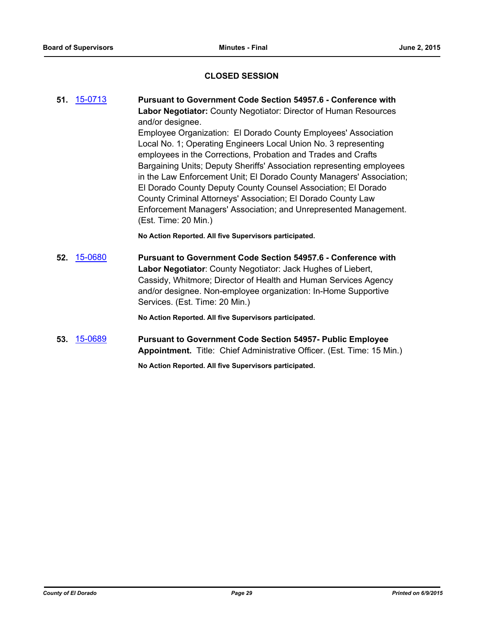## **CLOSED SESSION**

## **51.** [15-0713](http://eldorado.legistar.com/gateway.aspx?m=l&id=/matter.aspx?key=19887) **Pursuant to Government Code Section 54957.6 - Conference with Labor Negotiator:** County Negotiator: Director of Human Resources and/or designee. Employee Organization: El Dorado County Employees' Association Local No. 1; Operating Engineers Local Union No. 3 representing employees in the Corrections, Probation and Trades and Crafts Bargaining Units; Deputy Sheriffs' Association representing employees in the Law Enforcement Unit; El Dorado County Managers' Association; El Dorado County Deputy County Counsel Association; El Dorado County Criminal Attorneys' Association; El Dorado County Law Enforcement Managers' Association; and Unrepresented Management. (Est. Time: 20 Min.) **No Action Reported. All five Supervisors participated. 52.** [15-0680](http://eldorado.legistar.com/gateway.aspx?m=l&id=/matter.aspx?key=19852) **Pursuant to Government Code Section 54957.6 - Conference with Labor Negotiator**: County Negotiator: Jack Hughes of Liebert, Cassidy, Whitmore; Director of Health and Human Services Agency and/or designee. Non-employee organization: In-Home Supportive Services. (Est. Time: 20 Min.)

**No Action Reported. All five Supervisors participated.**

## **53.** [15-0689](http://eldorado.legistar.com/gateway.aspx?m=l&id=/matter.aspx?key=19862) **Pursuant to Government Code Section 54957- Public Employee Appointment.** Title: Chief Administrative Officer. (Est. Time: 15 Min.)

**No Action Reported. All five Supervisors participated.**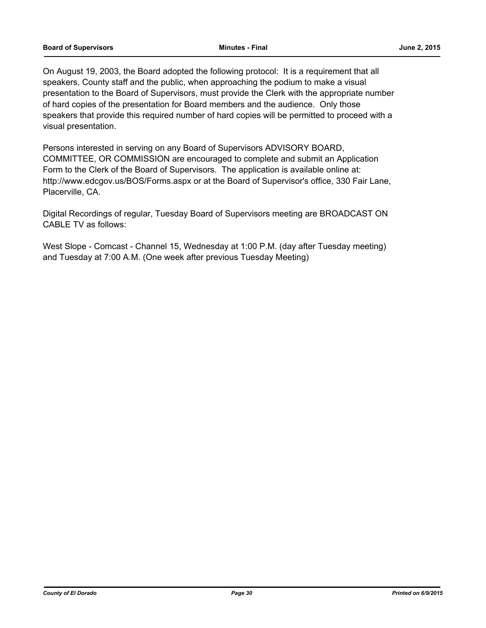On August 19, 2003, the Board adopted the following protocol: It is a requirement that all speakers, County staff and the public, when approaching the podium to make a visual presentation to the Board of Supervisors, must provide the Clerk with the appropriate number of hard copies of the presentation for Board members and the audience. Only those speakers that provide this required number of hard copies will be permitted to proceed with a visual presentation.

Persons interested in serving on any Board of Supervisors ADVISORY BOARD, COMMITTEE, OR COMMISSION are encouraged to complete and submit an Application Form to the Clerk of the Board of Supervisors. The application is available online at: http://www.edcgov.us/BOS/Forms.aspx or at the Board of Supervisor's office, 330 Fair Lane, Placerville, CA.

Digital Recordings of regular, Tuesday Board of Supervisors meeting are BROADCAST ON CABLE TV as follows:

West Slope - Comcast - Channel 15, Wednesday at 1:00 P.M. (day after Tuesday meeting) and Tuesday at 7:00 A.M. (One week after previous Tuesday Meeting)